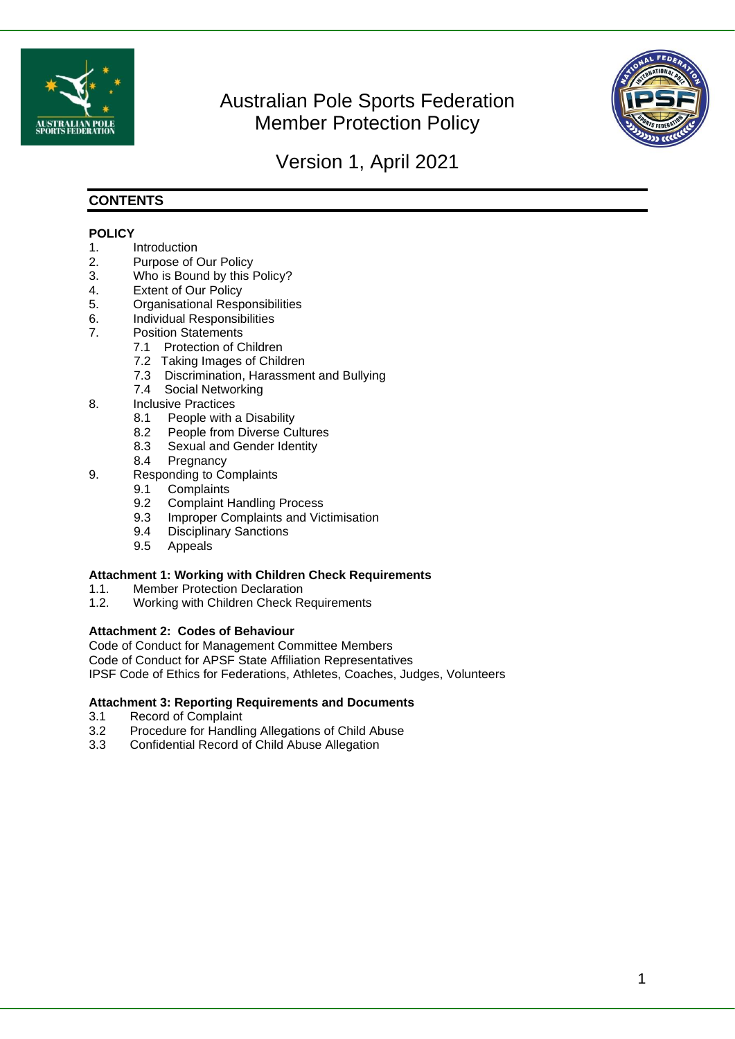

# Australian Pole Sports Federation Member Protection Policy



# Version 1, April 2021

### **CONTENTS**

#### **POLICY**

- 1. Introduction
- 2. Purpose of Our Policy
- 3. Who is Bound by this Policy?
- 4. Extent of Our Policy
- 5. Organisational Responsibilities
- 6. Individual Responsibilities
- 7. Position Statements
	- 7.1 Protection of Children
	- 7.2 Taking Images of Children
	- 7.3 Discrimination, Harassment and Bullying
	- 7.4 Social Networking
- 8. Inclusive Practices
	- 8.1 People with a Disability
	- 8.2 People from Diverse Cultures
	- 8.3 Sexual and Gender Identity
	- 8.4 Pregnancy
- 9. Responding to Complaints
	- 9.1 Complaints
	- 9.2 Complaint Handling Process
	- 9.3 Improper Complaints and Victimisation
	- 9.4 Disciplinary Sanctions
	- 9.5 Appeals

#### **Attachment 1: Working with Children Check Requirements**

- 1.1. Member Protection Declaration
- 1.2. Working with Children Check Requirements

#### **Attachment 2: Codes of Behaviour**

Code of Conduct for Management Committee Members Code of Conduct for APSF State Affiliation Representatives IPSF Code of Ethics for Federations, Athletes, Coaches, Judges, Volunteers

#### **Attachment 3: Reporting Requirements and Documents**

- 3.1 Record of Complaint
- 3.2 Procedure for Handling Allegations of Child Abuse
- 3.3 Confidential Record of Child Abuse Allegation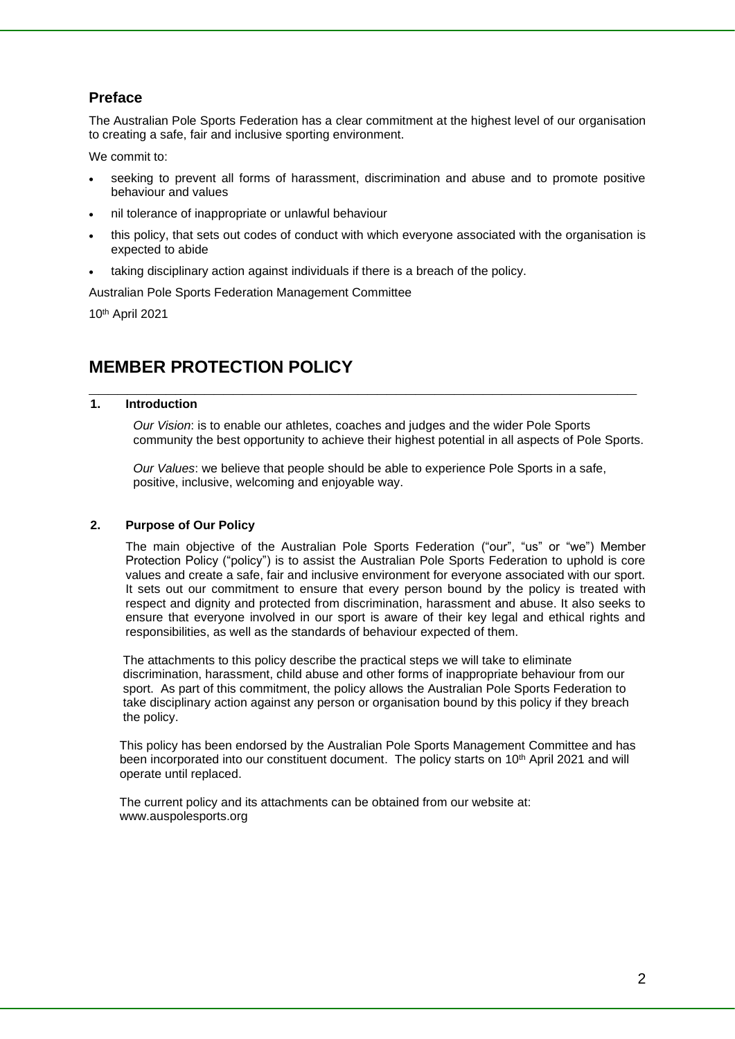## **Preface**

The Australian Pole Sports Federation has a clear commitment at the highest level of our organisation to creating a safe, fair and inclusive sporting environment.

We commit to:

- seeking to prevent all forms of harassment, discrimination and abuse and to promote positive behaviour and values
- nil tolerance of inappropriate or unlawful behaviour
- this policy, that sets out codes of conduct with which everyone associated with the organisation is expected to abide
- taking disciplinary action against individuals if there is a breach of the policy.

Australian Pole Sports Federation Management Committee

10th April 2021

## **MEMBER PROTECTION POLICY**

#### **1. Introduction**

*Our Vision*: is to enable our athletes, coaches and judges and the wider Pole Sports community the best opportunity to achieve their highest potential in all aspects of Pole Sports.

*Our Values*: we believe that people should be able to experience Pole Sports in a safe, positive, inclusive, welcoming and enjoyable way.

**\_\_\_\_\_\_\_\_\_\_\_\_\_\_\_\_\_\_\_\_\_\_\_\_\_\_\_\_\_\_\_\_\_\_\_\_\_\_\_\_\_\_\_\_\_\_\_\_\_\_\_\_\_\_\_\_\_**

#### **2. Purpose of Our Policy**

The main objective of the Australian Pole Sports Federation ("our", "us" or "we") Member Protection Policy ("policy") is to assist the Australian Pole Sports Federation to uphold is core values and create a safe, fair and inclusive environment for everyone associated with our sport. It sets out our commitment to ensure that every person bound by the policy is treated with respect and dignity and protected from discrimination, harassment and abuse. It also seeks to ensure that everyone involved in our sport is aware of their key legal and ethical rights and responsibilities, as well as the standards of behaviour expected of them.

 The attachments to this policy describe the practical steps we will take to eliminate discrimination, harassment, child abuse and other forms of inappropriate behaviour from our sport. As part of this commitment, the policy allows the Australian Pole Sports Federation to take disciplinary action against any person or organisation bound by this policy if they breach the policy.

 This policy has been endorsed by the Australian Pole Sports Management Committee and has been incorporated into our constituent document. The policy starts on 10<sup>th</sup> April 2021 and will operate until replaced.

 The current policy and its attachments can be obtained from our website at: www.auspolesports.org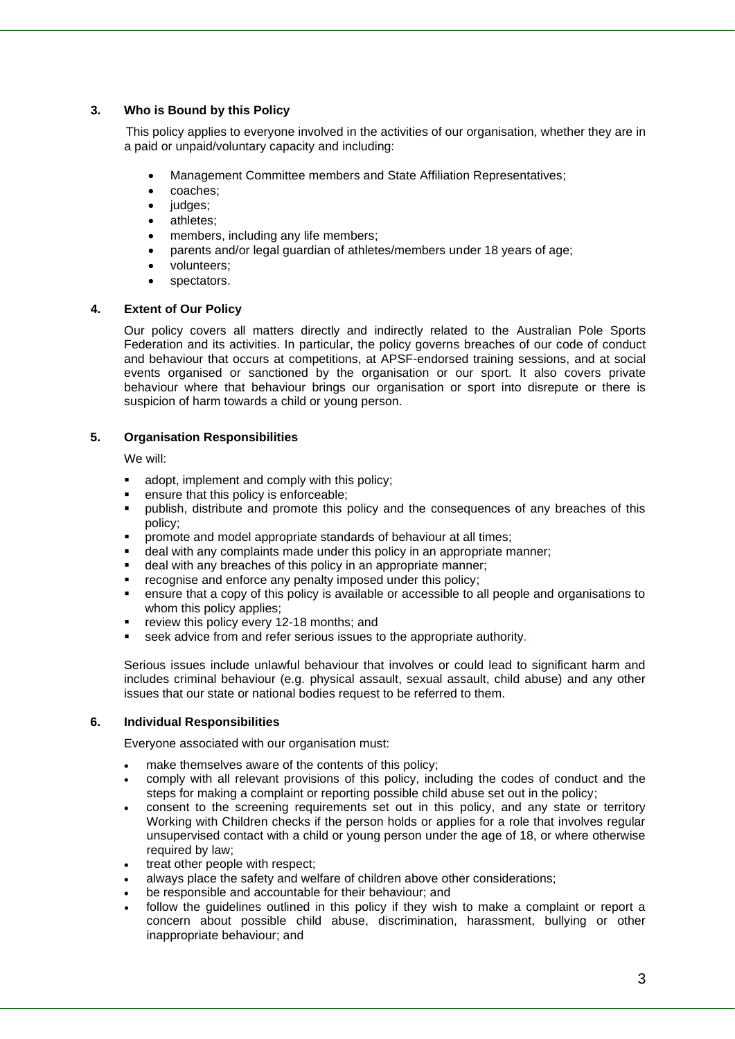#### **3. Who is Bound by this Policy**

This policy applies to everyone involved in the activities of our organisation, whether they are in a paid or unpaid/voluntary capacity and including:

- Management Committee members and State Affiliation Representatives;
- coaches;
- judges;
- athletes;
- members, including any life members;
- parents and/or legal guardian of athletes/members under 18 years of age;
- volunteers;
- spectators.

#### **4. Extent of Our Policy**

Our policy covers all matters directly and indirectly related to the Australian Pole Sports Federation and its activities. In particular, the policy governs breaches of our code of conduct and behaviour that occurs at competitions, at APSF-endorsed training sessions, and at social events organised or sanctioned by the organisation or our sport. It also covers private behaviour where that behaviour brings our organisation or sport into disrepute or there is suspicion of harm towards a child or young person.

#### **5. Organisation Responsibilities**

We will:

- adopt, implement and comply with this policy;
- ensure that this policy is enforceable;
- publish, distribute and promote this policy and the consequences of any breaches of this policy;
- promote and model appropriate standards of behaviour at all times;
- deal with any complaints made under this policy in an appropriate manner;
- deal with any breaches of this policy in an appropriate manner;
- recognise and enforce any penalty imposed under this policy;
- ensure that a copy of this policy is available or accessible to all people and organisations to whom this policy applies;
- review this policy every 12-18 months; and
- seek advice from and refer serious issues to the appropriate authority.

Serious issues include unlawful behaviour that involves or could lead to significant harm and includes criminal behaviour (e.g. physical assault, sexual assault, child abuse) and any other issues that our state or national bodies request to be referred to them.

#### **6. Individual Responsibilities**

Everyone associated with our organisation must:

- make themselves aware of the contents of this policy:
- comply with all relevant provisions of this policy, including the codes of conduct and the steps for making a complaint or reporting possible child abuse set out in the policy;
- consent to the screening requirements set out in this policy, and any state or territory Working with Children checks if the person holds or applies for a role that involves regular unsupervised contact with a child or young person under the age of 18, or where otherwise required by law:
- treat other people with respect;
- always place the safety and welfare of children above other considerations;
- be responsible and accountable for their behaviour; and
- follow the guidelines outlined in this policy if they wish to make a complaint or report a concern about possible child abuse, discrimination, harassment, bullying or other inappropriate behaviour; and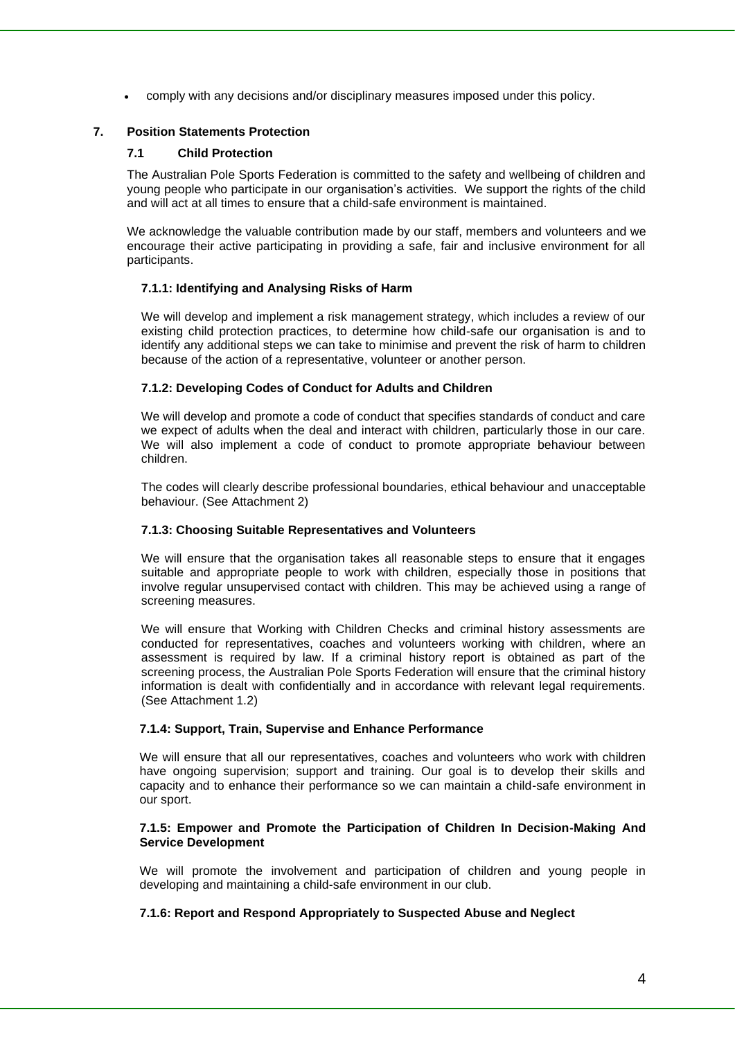• comply with any decisions and/or disciplinary measures imposed under this policy.

#### **7. Position Statements Protection**

#### **7.1 Child Protection**

The Australian Pole Sports Federation is committed to the safety and wellbeing of children and young people who participate in our organisation's activities. We support the rights of the child and will act at all times to ensure that a child-safe environment is maintained.

We acknowledge the valuable contribution made by our staff, members and volunteers and we encourage their active participating in providing a safe, fair and inclusive environment for all participants.

#### **7.1.1: Identifying and Analysing Risks of Harm**

We will develop and implement a risk management strategy, which includes a review of our existing child protection practices, to determine how child-safe our organisation is and to identify any additional steps we can take to minimise and prevent the risk of harm to children because of the action of a representative, volunteer or another person.

#### **7.1.2: Developing Codes of Conduct for Adults and Children**

We will develop and promote a code of conduct that specifies standards of conduct and care we expect of adults when the deal and interact with children, particularly those in our care. We will also implement a code of conduct to promote appropriate behaviour between children.

The codes will clearly describe professional boundaries, ethical behaviour and unacceptable behaviour. (See Attachment 2)

#### **7.1.3: Choosing Suitable Representatives and Volunteers**

We will ensure that the organisation takes all reasonable steps to ensure that it engages suitable and appropriate people to work with children, especially those in positions that involve regular unsupervised contact with children. This may be achieved using a range of screening measures.

We will ensure that Working with Children Checks and criminal history assessments are conducted for representatives, coaches and volunteers working with children, where an assessment is required by law. If a criminal history report is obtained as part of the screening process, the Australian Pole Sports Federation will ensure that the criminal history information is dealt with confidentially and in accordance with relevant legal requirements. (See Attachment 1.2)

#### **7.1.4: Support, Train, Supervise and Enhance Performance**

We will ensure that all our representatives, coaches and volunteers who work with children have ongoing supervision; support and training. Our goal is to develop their skills and capacity and to enhance their performance so we can maintain a child-safe environment in our sport.

#### **7.1.5: Empower and Promote the Participation of Children In Decision-Making And Service Development**

We will promote the involvement and participation of children and young people in developing and maintaining a child-safe environment in our club.

#### **7.1.6: Report and Respond Appropriately to Suspected Abuse and Neglect**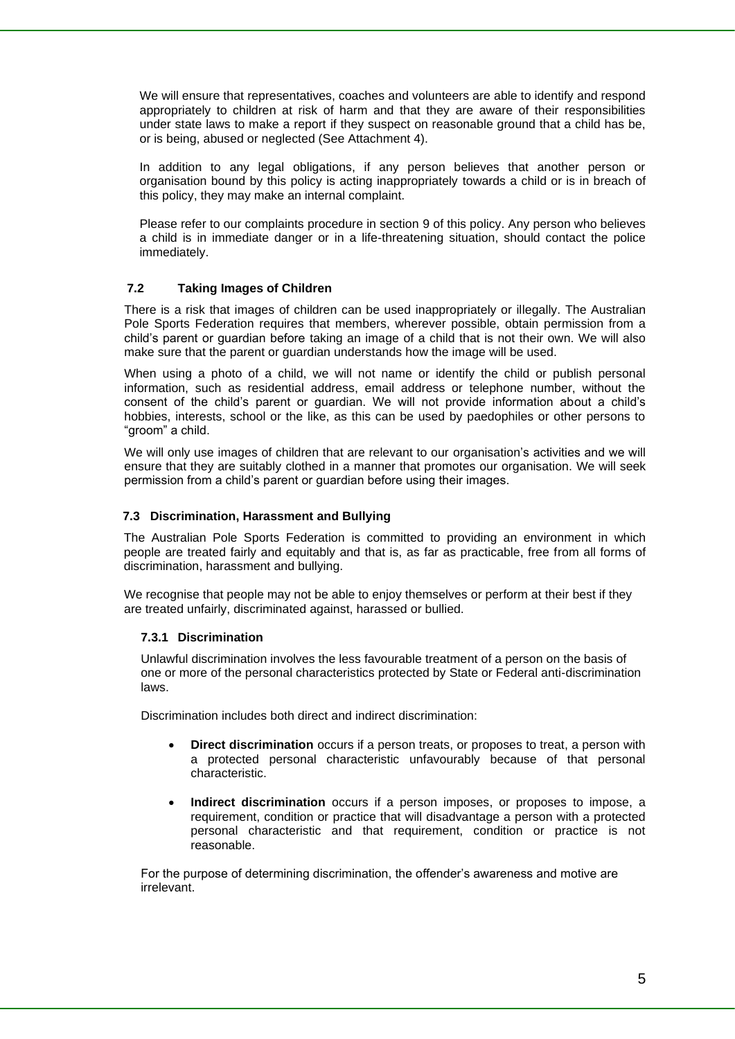We will ensure that representatives, coaches and volunteers are able to identify and respond appropriately to children at risk of harm and that they are aware of their responsibilities under state laws to make a report if they suspect on reasonable ground that a child has be, or is being, abused or neglected (See Attachment 4).

In addition to any legal obligations, if any person believes that another person or organisation bound by this policy is acting inappropriately towards a child or is in breach of this policy, they may make an internal complaint.

Please refer to our complaints procedure in section 9 of this policy. Any person who believes a child is in immediate danger or in a life-threatening situation, should contact the police immediately.

#### **7.2 Taking Images of Children**

There is a risk that images of children can be used inappropriately or illegally. The Australian Pole Sports Federation requires that members, wherever possible, obtain permission from a child's parent or guardian before taking an image of a child that is not their own. We will also make sure that the parent or guardian understands how the image will be used.

When using a photo of a child, we will not name or identify the child or publish personal information, such as residential address, email address or telephone number, without the consent of the child's parent or guardian. We will not provide information about a child's hobbies, interests, school or the like, as this can be used by paedophiles or other persons to "groom" a child.

We will only use images of children that are relevant to our organisation's activities and we will ensure that they are suitably clothed in a manner that promotes our organisation. We will seek permission from a child's parent or guardian before using their images.

#### **7.3 Discrimination, Harassment and Bullying**

The Australian Pole Sports Federation is committed to providing an environment in which people are treated fairly and equitably and that is, as far as practicable, free from all forms of discrimination, harassment and bullying.

We recognise that people may not be able to enjoy themselves or perform at their best if they are treated unfairly, discriminated against, harassed or bullied.

#### **7.3.1 Discrimination**

 Unlawful discrimination involves the less favourable treatment of a person on the basis of one or more of the personal characteristics protected by State or Federal anti-discrimination laws.

Discrimination includes both direct and indirect discrimination:

- **Direct discrimination** occurs if a person treats, or proposes to treat, a person with a protected personal characteristic unfavourably because of that personal characteristic.
- **Indirect discrimination** occurs if a person imposes, or proposes to impose, a requirement, condition or practice that will disadvantage a person with a protected personal characteristic and that requirement, condition or practice is not reasonable.

 For the purpose of determining discrimination, the offender's awareness and motive are irrelevant.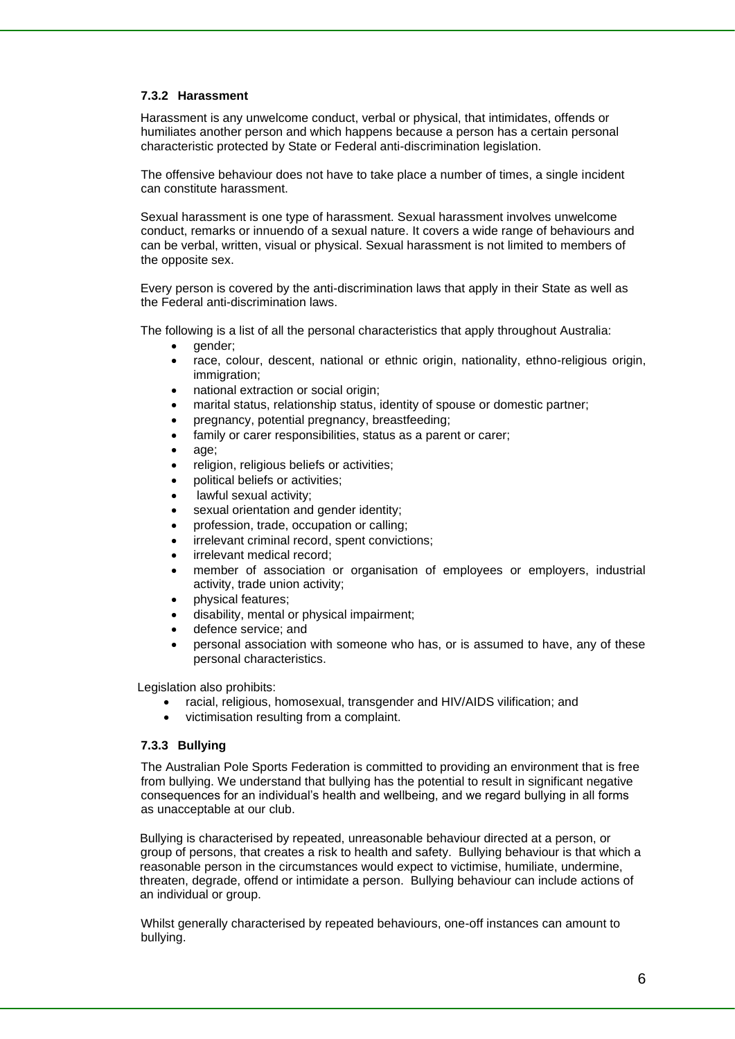#### **7.3.2 Harassment**

 Harassment is any unwelcome conduct, verbal or physical, that intimidates, offends or humiliates another person and which happens because a person has a certain personal characteristic protected by State or Federal anti-discrimination legislation.

 The offensive behaviour does not have to take place a number of times, a single incident can constitute harassment.

 Sexual harassment is one type of harassment. Sexual harassment involves unwelcome conduct, remarks or innuendo of a sexual nature. It covers a wide range of behaviours and can be verbal, written, visual or physical. Sexual harassment is not limited to members of the opposite sex.

 Every person is covered by the anti-discrimination laws that apply in their State as well as the Federal anti-discrimination laws.

The following is a list of all the personal characteristics that apply throughout Australia:

- qender:
- race, colour, descent, national or ethnic origin, nationality, ethno-religious origin, immigration:
- national extraction or social origin;
- marital status, relationship status, identity of spouse or domestic partner;
- pregnancy, potential pregnancy, breastfeeding;
- family or carer responsibilities, status as a parent or carer;
- age;
- religion, religious beliefs or activities;
- political beliefs or activities;
- lawful sexual activity:
- sexual orientation and gender identity;
- profession, trade, occupation or calling;
- irrelevant criminal record, spent convictions;
- irrelevant medical record:
- member of association or organisation of employees or employers, industrial activity, trade union activity;
- physical features;
- disability, mental or physical impairment;
- defence service; and
- personal association with someone who has, or is assumed to have, any of these personal characteristics.

Legislation also prohibits:

- racial, religious, homosexual, transgender and HIV/AIDS vilification; and
- victimisation resulting from a complaint.

#### **7.3.3 Bullying**

 The Australian Pole Sports Federation is committed to providing an environment that is free from bullying. We understand that bullying has the potential to result in significant negative consequences for an individual's health and wellbeing, and we regard bullying in all forms as unacceptable at our club.

 Bullying is characterised by repeated, unreasonable behaviour directed at a person, or group of persons, that creates a risk to health and safety. Bullying behaviour is that which a reasonable person in the circumstances would expect to victimise, humiliate, undermine, threaten, degrade, offend or intimidate a person. Bullying behaviour can include actions of an individual or group.

 Whilst generally characterised by repeated behaviours, one-off instances can amount to bullying.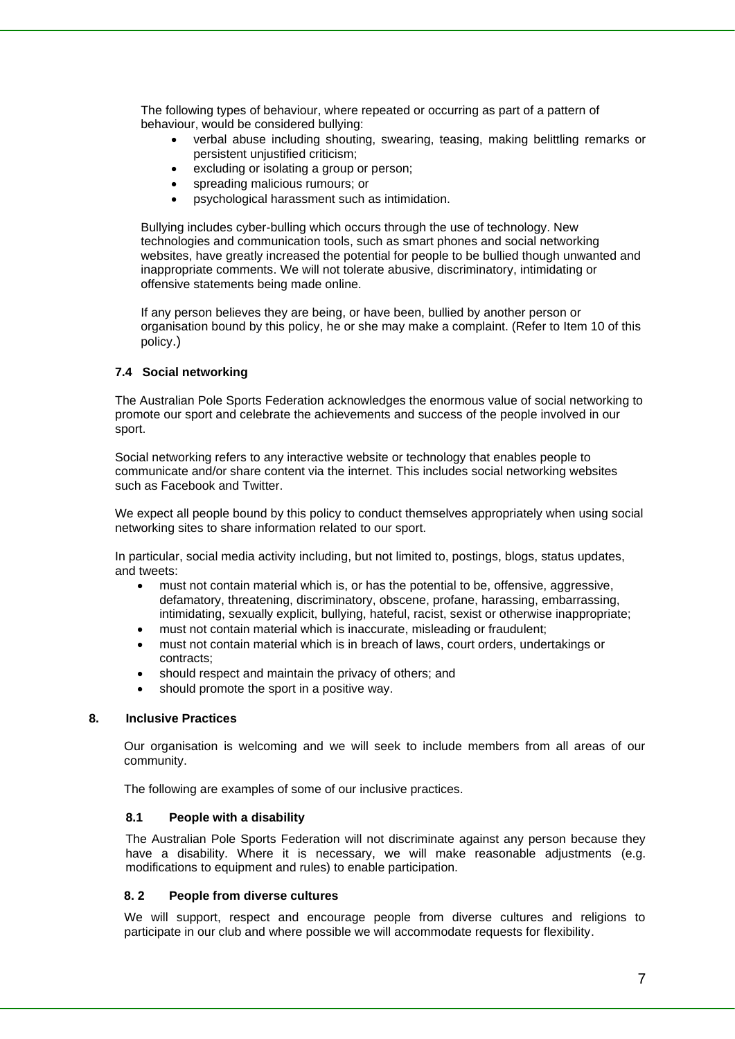The following types of behaviour, where repeated or occurring as part of a pattern of behaviour, would be considered bullying:

- verbal abuse including shouting, swearing, teasing, making belittling remarks or persistent unjustified criticism;
- excluding or isolating a group or person;
- spreading malicious rumours; or
- psychological harassment such as intimidation.

 Bullying includes cyber-bulling which occurs through the use of technology. New technologies and communication tools, such as smart phones and social networking websites, have greatly increased the potential for people to be bullied though unwanted and inappropriate comments. We will not tolerate abusive, discriminatory, intimidating or offensive statements being made online.

 If any person believes they are being, or have been, bullied by another person or organisation bound by this policy, he or she may make a complaint. (Refer to Item 10 of this policy.)

#### **7.4 Social networking**

The Australian Pole Sports Federation acknowledges the enormous value of social networking to promote our sport and celebrate the achievements and success of the people involved in our sport.

Social networking refers to any interactive website or technology that enables people to communicate and/or share content via the internet. This includes social networking websites such as Facebook and Twitter.

We expect all people bound by this policy to conduct themselves appropriately when using social networking sites to share information related to our sport.

In particular, social media activity including, but not limited to, postings, blogs, status updates, and tweets:

- must not contain material which is, or has the potential to be, offensive, aggressive, defamatory, threatening, discriminatory, obscene, profane, harassing, embarrassing, intimidating, sexually explicit, bullying, hateful, racist, sexist or otherwise inappropriate;
- must not contain material which is inaccurate, misleading or fraudulent;
- must not contain material which is in breach of laws, court orders, undertakings or contracts;
- should respect and maintain the privacy of others; and
- should promote the sport in a positive way.

#### **8. Inclusive Practices**

Our organisation is welcoming and we will seek to include members from all areas of our community.

The following are examples of some of our inclusive practices.

#### **8.1 People with a disability**

The Australian Pole Sports Federation will not discriminate against any person because they have a disability. Where it is necessary, we will make reasonable adjustments (e.g. modifications to equipment and rules) to enable participation.

#### **8. 2 People from diverse cultures**

We will support, respect and encourage people from diverse cultures and religions to participate in our club and where possible we will accommodate requests for flexibility.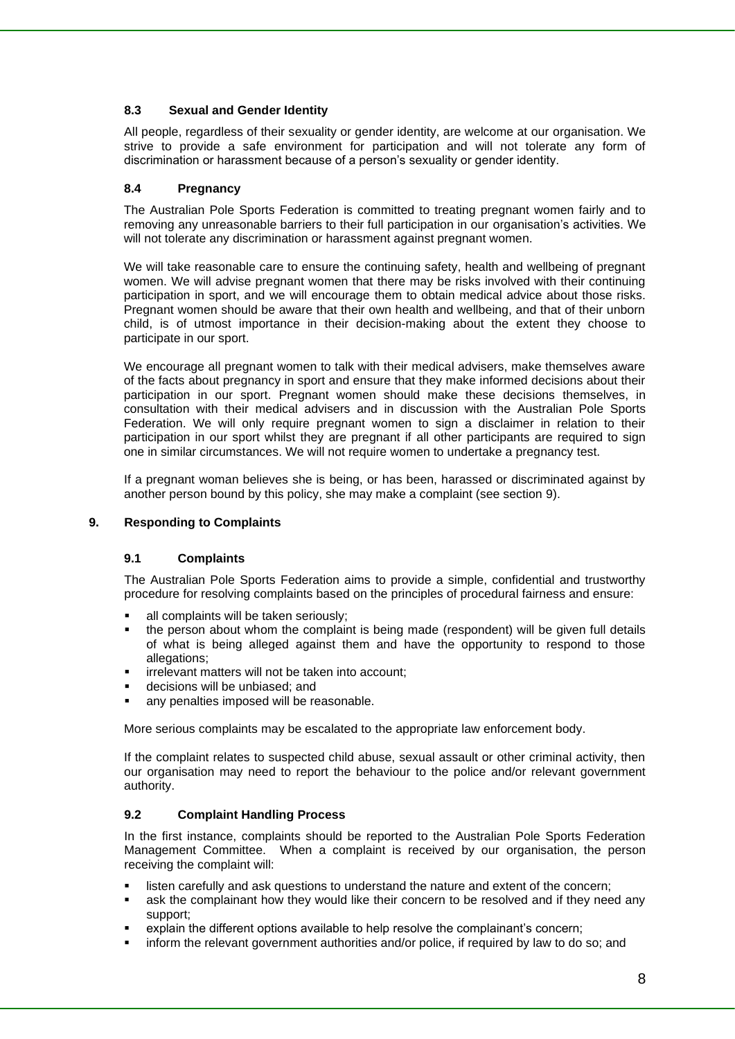#### **8.3 Sexual and Gender Identity**

All people, regardless of their sexuality or gender identity, are welcome at our organisation. We strive to provide a safe environment for participation and will not tolerate any form of discrimination or harassment because of a person's sexuality or gender identity.

#### **8.4 Pregnancy**

The Australian Pole Sports Federation is committed to treating pregnant women fairly and to removing any unreasonable barriers to their full participation in our organisation's activities. We will not tolerate any discrimination or harassment against pregnant women.

We will take reasonable care to ensure the continuing safety, health and wellbeing of pregnant women. We will advise pregnant women that there may be risks involved with their continuing participation in sport, and we will encourage them to obtain medical advice about those risks. Pregnant women should be aware that their own health and wellbeing, and that of their unborn child, is of utmost importance in their decision-making about the extent they choose to participate in our sport.

We encourage all pregnant women to talk with their medical advisers, make themselves aware of the facts about pregnancy in sport and ensure that they make informed decisions about their participation in our sport. Pregnant women should make these decisions themselves, in consultation with their medical advisers and in discussion with the Australian Pole Sports Federation. We will only require pregnant women to sign a disclaimer in relation to their participation in our sport whilst they are pregnant if all other participants are required to sign one in similar circumstances. We will not require women to undertake a pregnancy test.

If a pregnant woman believes she is being, or has been, harassed or discriminated against by another person bound by this policy, she may make a complaint (see section 9).

#### **9. Responding to Complaints**

#### **9.1 Complaints**

The Australian Pole Sports Federation aims to provide a simple, confidential and trustworthy procedure for resolving complaints based on the principles of procedural fairness and ensure:

- all complaints will be taken seriously:
- the person about whom the complaint is being made (respondent) will be given full details of what is being alleged against them and have the opportunity to respond to those allegations;
- irrelevant matters will not be taken into account:
- decisions will be unbiased; and
- any penalties imposed will be reasonable.

More serious complaints may be escalated to the appropriate law enforcement body.

If the complaint relates to suspected child abuse, sexual assault or other criminal activity, then our organisation may need to report the behaviour to the police and/or relevant government authority.

#### **9.2 Complaint Handling Process**

In the first instance, complaints should be reported to the Australian Pole Sports Federation Management Committee. When a complaint is received by our organisation, the person receiving the complaint will:

- listen carefully and ask questions to understand the nature and extent of the concern;
- ask the complainant how they would like their concern to be resolved and if they need any support;
- explain the different options available to help resolve the complainant's concern;
- inform the relevant government authorities and/or police, if required by law to do so; and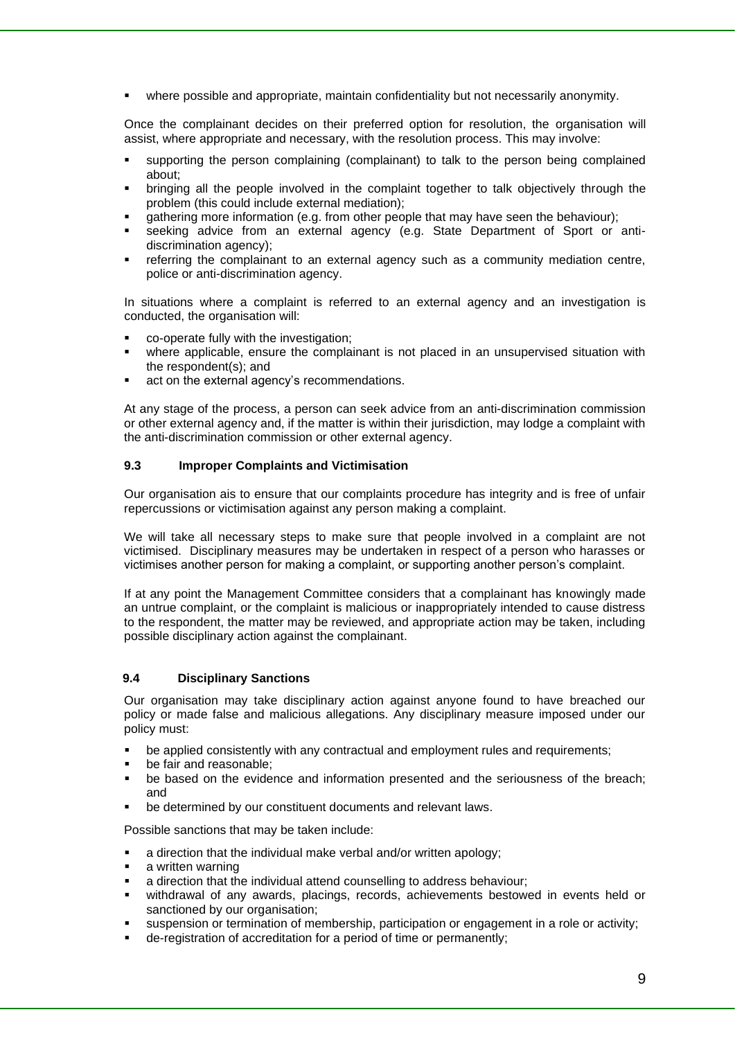where possible and appropriate, maintain confidentiality but not necessarily anonymity.

Once the complainant decides on their preferred option for resolution, the organisation will assist, where appropriate and necessary, with the resolution process. This may involve:

- supporting the person complaining (complainant) to talk to the person being complained about;
- bringing all the people involved in the complaint together to talk objectively through the problem (this could include external mediation);
- gathering more information (e.g. from other people that may have seen the behaviour);
- seeking advice from an external agency (e.g. State Department of Sport or antidiscrimination agency);
- referring the complainant to an external agency such as a community mediation centre, police or anti-discrimination agency.

In situations where a complaint is referred to an external agency and an investigation is conducted, the organisation will:

- co-operate fully with the investigation;
- where applicable, ensure the complainant is not placed in an unsupervised situation with the respondent(s); and
- act on the external agency's recommendations.

At any stage of the process, a person can seek advice from an anti-discrimination commission or other external agency and, if the matter is within their jurisdiction, may lodge a complaint with the anti-discrimination commission or other external agency.

#### **9.3 Improper Complaints and Victimisation**

Our organisation ais to ensure that our complaints procedure has integrity and is free of unfair repercussions or victimisation against any person making a complaint.

We will take all necessary steps to make sure that people involved in a complaint are not victimised. Disciplinary measures may be undertaken in respect of a person who harasses or victimises another person for making a complaint, or supporting another person's complaint.

If at any point the Management Committee considers that a complainant has knowingly made an untrue complaint, or the complaint is malicious or inappropriately intended to cause distress to the respondent, the matter may be reviewed, and appropriate action may be taken, including possible disciplinary action against the complainant.

#### **9.4 Disciplinary Sanctions**

Our organisation may take disciplinary action against anyone found to have breached our policy or made false and malicious allegations. Any disciplinary measure imposed under our policy must:

- be applied consistently with any contractual and employment rules and requirements;
- be fair and reasonable:
- be based on the evidence and information presented and the seriousness of the breach; and
- be determined by our constituent documents and relevant laws.

Possible sanctions that may be taken include:

- a direction that the individual make verbal and/or written apology;
- a written warning
- a direction that the individual attend counselling to address behaviour;
- withdrawal of any awards, placings, records, achievements bestowed in events held or sanctioned by our organisation;
- suspension or termination of membership, participation or engagement in a role or activity;
- de-registration of accreditation for a period of time or permanently;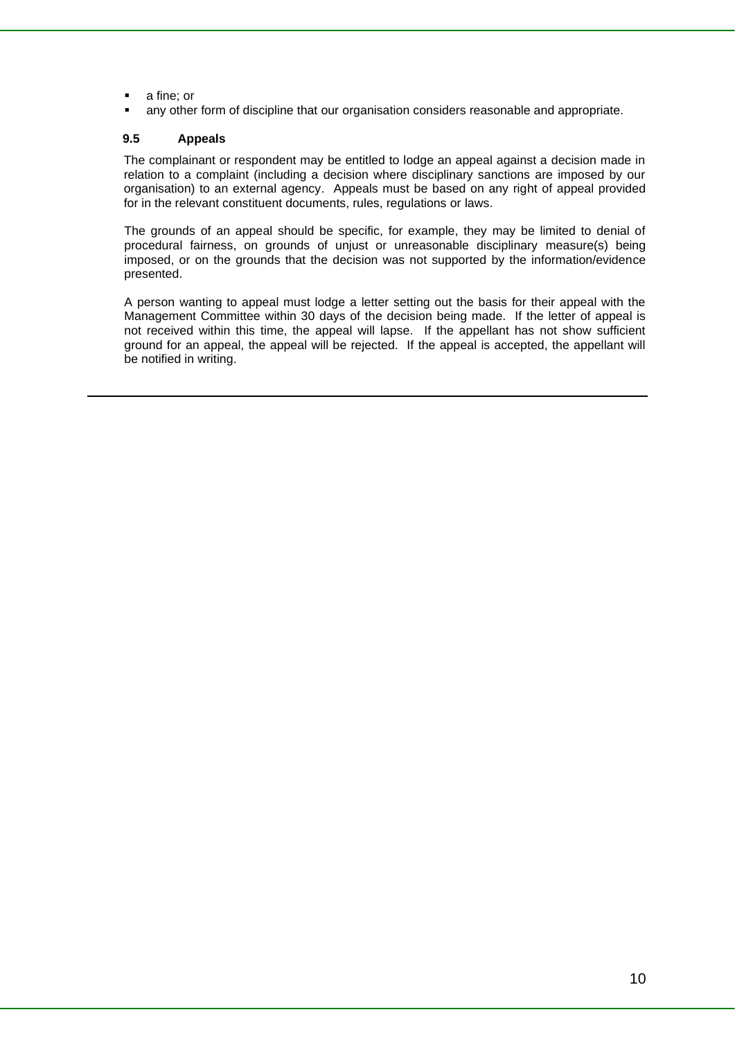- a fine; or
- any other form of discipline that our organisation considers reasonable and appropriate.

#### **9.5 Appeals**

The complainant or respondent may be entitled to lodge an appeal against a decision made in relation to a complaint (including a decision where disciplinary sanctions are imposed by our organisation) to an external agency. Appeals must be based on any right of appeal provided for in the relevant constituent documents, rules, regulations or laws.

The grounds of an appeal should be specific, for example, they may be limited to denial of procedural fairness, on grounds of unjust or unreasonable disciplinary measure(s) being imposed, or on the grounds that the decision was not supported by the information/evidence presented.

A person wanting to appeal must lodge a letter setting out the basis for their appeal with the Management Committee within 30 days of the decision being made. If the letter of appeal is not received within this time, the appeal will lapse. If the appellant has not show sufficient ground for an appeal, the appeal will be rejected. If the appeal is accepted, the appellant will be notified in writing.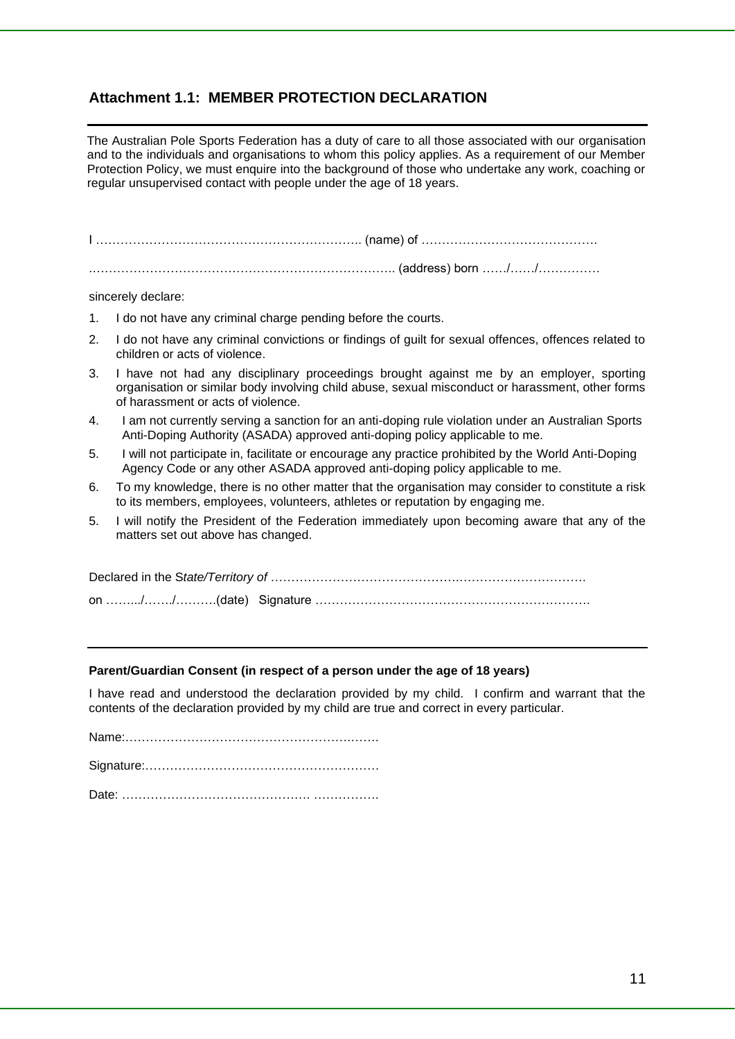## **Attachment 1.1: MEMBER PROTECTION DECLARATION**

The Australian Pole Sports Federation has a duty of care to all those associated with our organisation and to the individuals and organisations to whom this policy applies. As a requirement of our Member Protection Policy, we must enquire into the background of those who undertake any work, coaching or regular unsupervised contact with people under the age of 18 years.

I ……………………………………………………….. (name) of …………………………………….

.……………………………………………………………….. (address) born ……/……/……………

sincerely declare:

- 1. I do not have any criminal charge pending before the courts.
- 2. I do not have any criminal convictions or findings of guilt for sexual offences, offences related to children or acts of violence.
- 3. I have not had any disciplinary proceedings brought against me by an employer, sporting organisation or similar body involving child abuse, sexual misconduct or harassment, other forms of harassment or acts of violence.
- 4. I am not currently serving a sanction for an anti-doping rule violation under an Australian Sports Anti-Doping Authority (ASADA) approved anti-doping policy applicable to me.
- 5. I will not participate in, facilitate or encourage any practice prohibited by the World Anti-Doping Agency Code or any other ASADA approved anti-doping policy applicable to me.
- 6. To my knowledge, there is no other matter that the organisation may consider to constitute a risk to its members, employees, volunteers, athletes or reputation by engaging me.
- 5. I will notify the President of the Federation immediately upon becoming aware that any of the matters set out above has changed.

#### **Parent/Guardian Consent (in respect of a person under the age of 18 years)**

I have read and understood the declaration provided by my child. I confirm and warrant that the contents of the declaration provided by my child are true and correct in every particular.

Name:……………………………………………….…….

Signature:…………………………………………………

Date: ………………………………………. …………….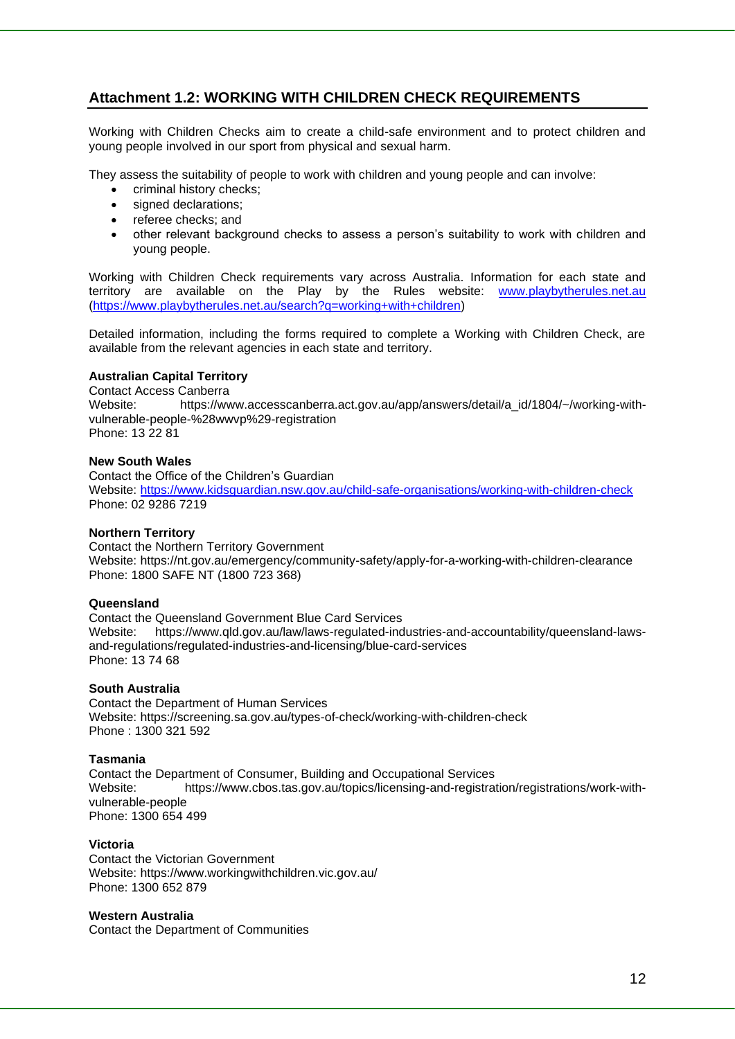## **Attachment 1.2: WORKING WITH CHILDREN CHECK REQUIREMENTS**

Working with Children Checks aim to create a child-safe environment and to protect children and young people involved in our sport from physical and sexual harm.

They assess the suitability of people to work with children and young people and can involve:

- criminal history checks;
- signed declarations:
- referee checks; and
- other relevant background checks to assess a person's suitability to work with children and young people.

Working with Children Check requirements vary across Australia. Information for each state and territory are available on the Play by the Rules website: [www.playbytherules.net.au](http://www.playbytherules.net.au/) [\(https://www.playbytherules.net.au/search?q=working+with+children\)](https://www.playbytherules.net.au/search?q=working+with+children)

Detailed information, including the forms required to complete a Working with Children Check, are available from the relevant agencies in each state and territory.

#### **Australian Capital Territory**

Contact Access Canberra Website: https://www.accesscanberra.act.gov.au/app/answers/detail/a id/1804/~/working-withvulnerable-people-%28wwvp%29-registration Phone: 13 22 81

#### **New South Wales**

Contact the Office of the Children's Guardian Website: https://www.kidsguardian.nsw.gov.au/child-safe-organisations/working-with-children-check Phone: 02 9286 7219

#### **Northern Territory**

Contact the Northern Territory Government Website: https://nt.gov.au/emergency/community-safety/apply-for-a-working-with-children-clearance Phone: 1800 SAFE NT (1800 723 368)

#### **Queensland**

Contact the Queensland Government Blue Card Services Website: https://www.qld.gov.au/law/laws-regulated-industries-and-accountability/queensland-lawsand-regulations/regulated-industries-and-licensing/blue-card-services Phone: 13 74 68

#### **South Australia**

Contact the Department of Human Services Website: https://screening.sa.gov.au/types-of-check/working-with-children-check Phone : 1300 321 592

#### **Tasmania**

Contact the Department of Consumer, Building and Occupational Services Website: https://www.cbos.tas.gov.au/topics/licensing-and-registration/registrations/work-withvulnerable-people Phone: 1300 654 499

#### **Victoria**

Contact the Victorian Government Website: https://www.workingwithchildren.vic.gov.au/ Phone: 1300 652 879

#### **Western Australia**

Contact the Department of Communities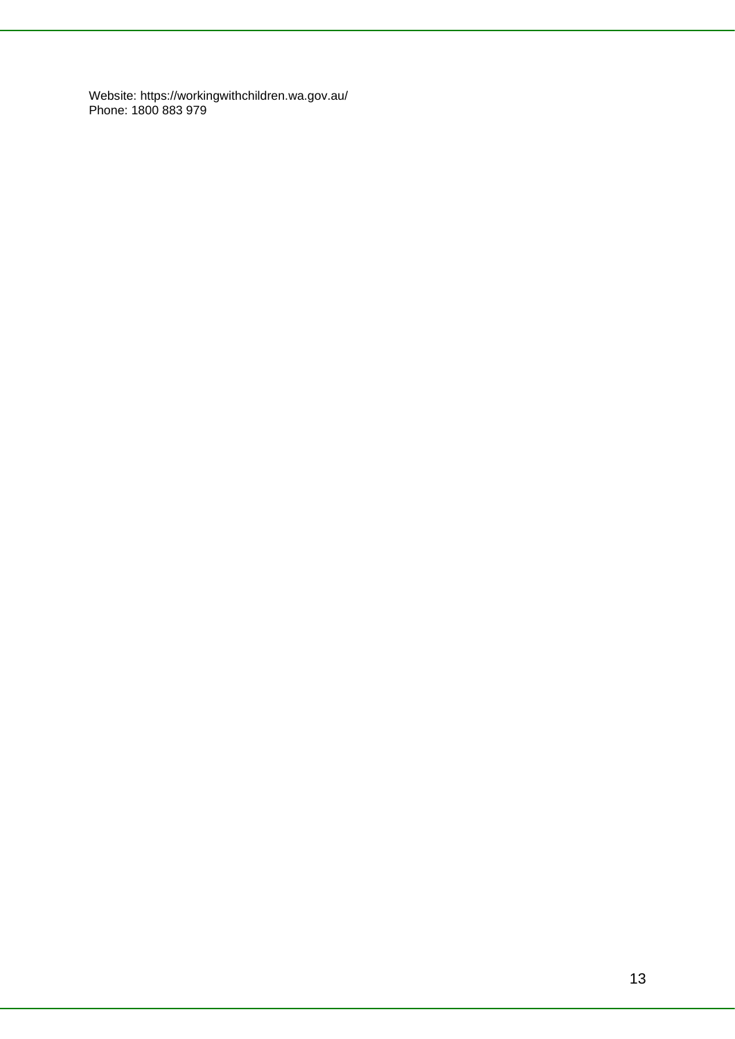Website: https://workingwithchildren.wa.gov.au/ Phone: 1800 883 979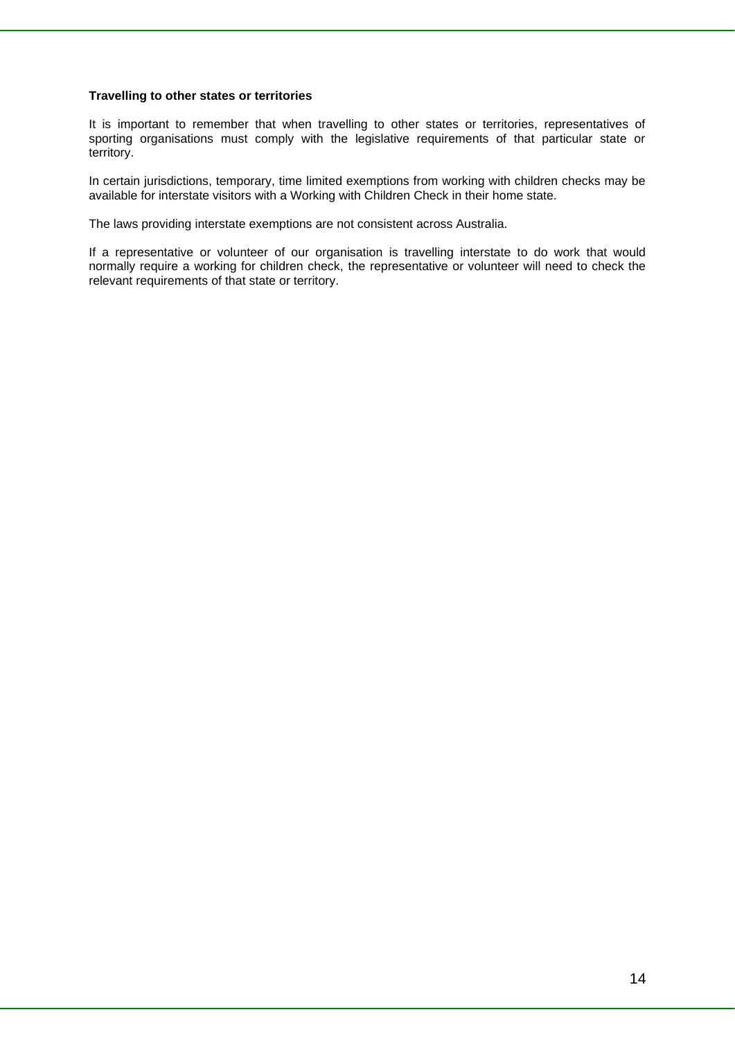#### **Travelling to other states or territories**

It is important to remember that when travelling to other states or territories, representatives of sporting organisations must comply with the legislative requirements of that particular state or territory.

In certain jurisdictions, temporary, time limited exemptions from working with children checks may be available for interstate visitors with a Working with Children Check in their home state.

The laws providing interstate exemptions are not consistent across Australia.

If a representative or volunteer of our organisation is travelling interstate to do work that would normally require a working for children check, the representative or volunteer will need to check the relevant requirements of that state or territory.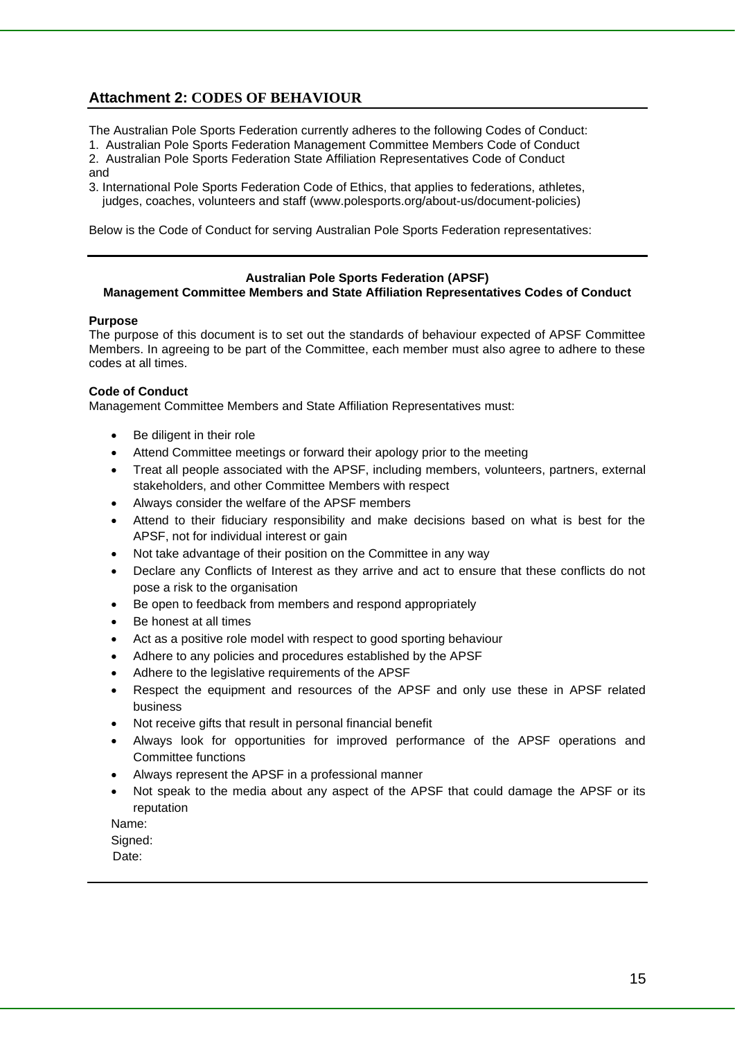## **Attachment 2: CODES OF BEHAVIOUR**

- The Australian Pole Sports Federation currently adheres to the following Codes of Conduct:
- 1. Australian Pole Sports Federation Management Committee Members Code of Conduct
- 2. Australian Pole Sports Federation State Affiliation Representatives Code of Conduct and
- 3. International Pole Sports Federation Code of Ethics, that applies to federations, athletes, judges, coaches, volunteers and staff (www.polesports.org/about-us/document-policies)

Below is the Code of Conduct for serving Australian Pole Sports Federation representatives:

#### **Australian Pole Sports Federation (APSF)**

#### **Management Committee Members and State Affiliation Representatives Codes of Conduct**

#### **Purpose**

The purpose of this document is to set out the standards of behaviour expected of APSF Committee Members. In agreeing to be part of the Committee, each member must also agree to adhere to these codes at all times.

#### **Code of Conduct**

Management Committee Members and State Affiliation Representatives must:

- Be diligent in their role
- Attend Committee meetings or forward their apology prior to the meeting
- Treat all people associated with the APSF, including members, volunteers, partners, external stakeholders, and other Committee Members with respect
- Always consider the welfare of the APSF members
- Attend to their fiduciary responsibility and make decisions based on what is best for the APSF, not for individual interest or gain
- Not take advantage of their position on the Committee in any way
- Declare any Conflicts of Interest as they arrive and act to ensure that these conflicts do not pose a risk to the organisation
- Be open to feedback from members and respond appropriately
- Be honest at all times
- Act as a positive role model with respect to good sporting behaviour
- Adhere to any policies and procedures established by the APSF
- Adhere to the legislative requirements of the APSF
- Respect the equipment and resources of the APSF and only use these in APSF related business
- Not receive gifts that result in personal financial benefit
- Always look for opportunities for improved performance of the APSF operations and Committee functions
- Always represent the APSF in a professional manner
- Not speak to the media about any aspect of the APSF that could damage the APSF or its reputation

Name:

Signed:

Date: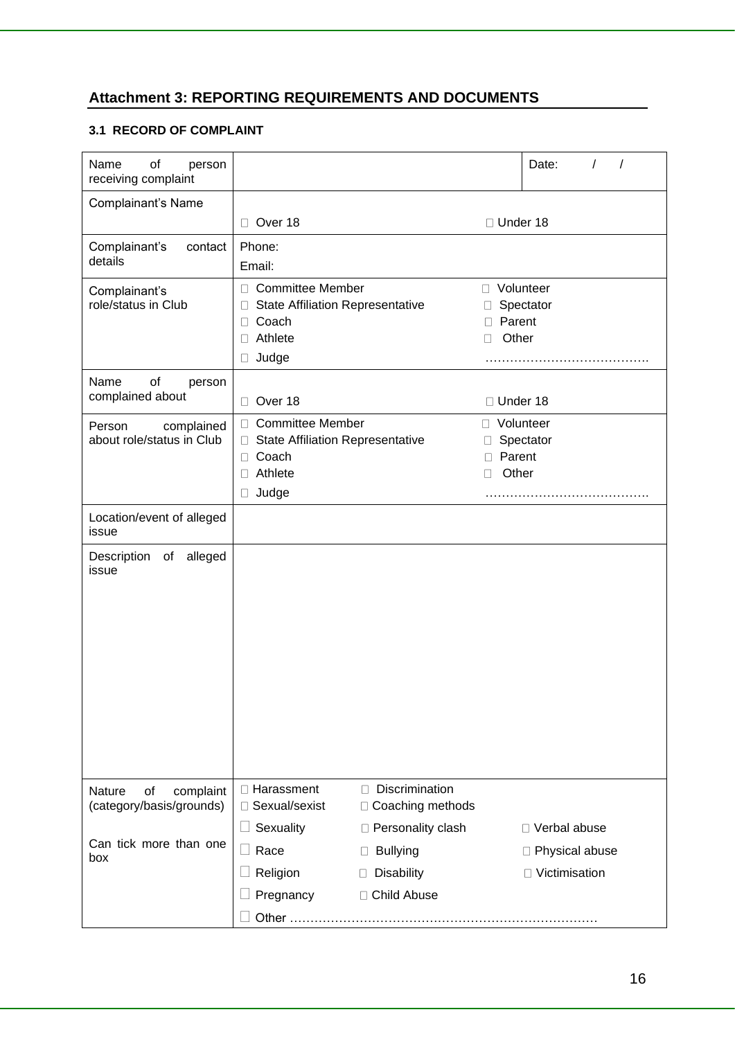## **Attachment 3: REPORTING REQUIREMENTS AND DOCUMENTS**

### **3.1 RECORD OF COMPLAINT**

| Name<br>of<br>person<br>receiving complaint                  |                                                                 |                                            |                           | $\prime$<br>Date:<br>$\prime$ |
|--------------------------------------------------------------|-----------------------------------------------------------------|--------------------------------------------|---------------------------|-------------------------------|
| Complainant's Name                                           |                                                                 |                                            |                           |                               |
|                                                              | Over 18                                                         |                                            | □ Under 18                |                               |
| Complainant's<br>contact                                     | Phone:                                                          |                                            |                           |                               |
| details                                                      | Email:                                                          |                                            |                           |                               |
| Complainant's                                                | □ Committee Member                                              |                                            | □ Volunteer               |                               |
| role/status in Club                                          | <b>State Affiliation Representative</b><br>□<br>Coach<br>$\Box$ |                                            | $\mathbf{L}$<br>□ Parent  | Spectator                     |
|                                                              | Athlete<br>0                                                    |                                            | Other<br>П                |                               |
|                                                              | Judge<br>$\Box$                                                 |                                            |                           |                               |
| Name<br>of<br>person                                         |                                                                 |                                            |                           |                               |
| complained about                                             | Over 18<br>$\Box$                                               |                                            | □ Under 18                |                               |
| complained<br>Person                                         | □ Committee Member                                              |                                            | □ Volunteer               |                               |
| about role/status in Club                                    | □ State Affiliation Representative                              |                                            | $\Box$                    | Spectator                     |
|                                                              | Coach<br>$\Box$<br>Athlete<br>□                                 |                                            | Parent<br>П<br>Other<br>П |                               |
|                                                              | Judge<br>u                                                      |                                            |                           |                               |
| Location/event of alleged                                    |                                                                 |                                            |                           |                               |
| issue                                                        |                                                                 |                                            |                           |                               |
| alleged<br>Description of                                    |                                                                 |                                            |                           |                               |
| issue                                                        |                                                                 |                                            |                           |                               |
|                                                              |                                                                 |                                            |                           |                               |
|                                                              |                                                                 |                                            |                           |                               |
|                                                              |                                                                 |                                            |                           |                               |
|                                                              |                                                                 |                                            |                           |                               |
|                                                              |                                                                 |                                            |                           |                               |
|                                                              |                                                                 |                                            |                           |                               |
|                                                              |                                                                 |                                            |                           |                               |
|                                                              |                                                                 |                                            |                           |                               |
|                                                              |                                                                 |                                            |                           |                               |
| of<br>complaint<br><b>Nature</b><br>(category/basis/grounds) | □ Harassment<br>□ Sexual/sexist                                 | Discrimination<br>П.<br>□ Coaching methods |                           |                               |
|                                                              | Sexuality<br>$\Box$                                             | □ Personality clash                        |                           | □ Verbal abuse                |
| Can tick more than one                                       | Race<br>$\Box$                                                  | <b>Bullying</b><br>$\Box$                  |                           | □ Physical abuse              |
| box                                                          | Religion                                                        | <b>Disability</b><br>П                     |                           | □ Victimisation               |
|                                                              |                                                                 |                                            |                           |                               |
|                                                              | Pregnancy                                                       | □ Child Abuse                              |                           |                               |
|                                                              | Other                                                           |                                            |                           |                               |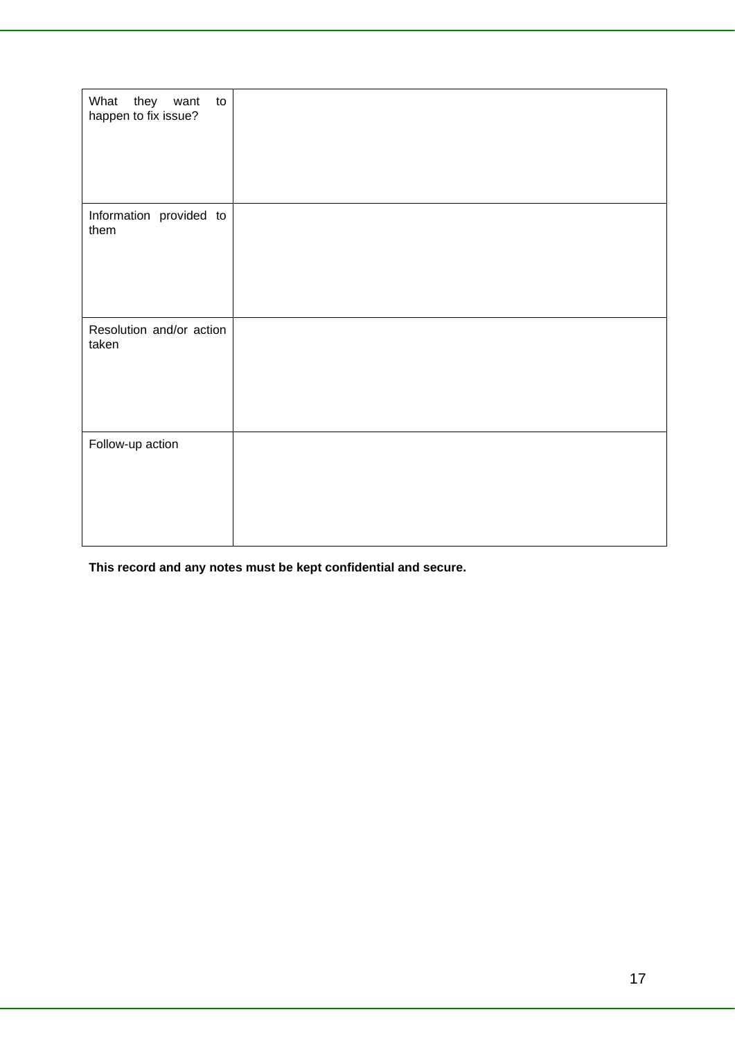| What<br>they want<br>to<br>happen to fix issue? |  |
|-------------------------------------------------|--|
| Information provided to<br>them                 |  |
| Resolution and/or action<br>taken               |  |
| Follow-up action                                |  |

**This record and any notes must be kept confidential and secure.**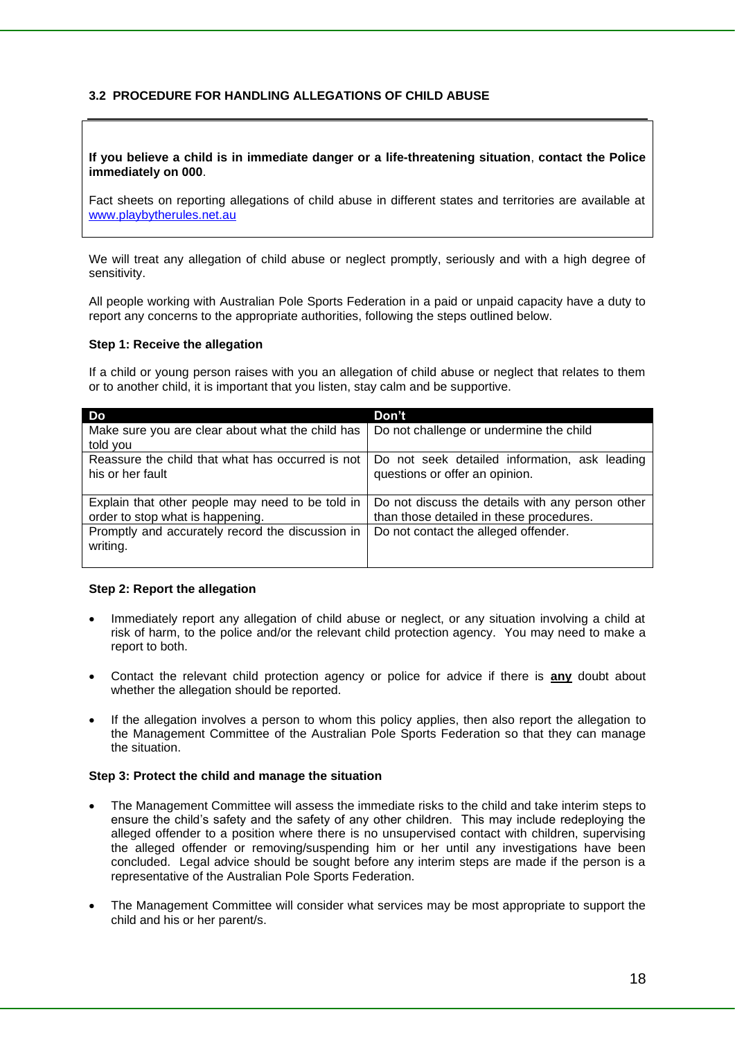#### **3.2 PROCEDURE FOR HANDLING ALLEGATIONS OF CHILD ABUSE**

#### **If you believe a child is in immediate danger or a life-threatening situation**, **contact the Police immediately on 000**.

Fact sheets on reporting allegations of child abuse in different states and territories are available at [www.playbytherules.net.au](http://www.playbytherules.net.au/)

We will treat any allegation of child abuse or neglect promptly, seriously and with a high degree of sensitivity.

All people working with Australian Pole Sports Federation in a paid or unpaid capacity have a duty to report any concerns to the appropriate authorities, following the steps outlined below.

#### **Step 1: Receive the allegation**

If a child or young person raises with you an allegation of child abuse or neglect that relates to them or to another child, it is important that you listen, stay calm and be supportive.

| Do i                                                                 | Don't                                                                           |
|----------------------------------------------------------------------|---------------------------------------------------------------------------------|
| Make sure you are clear about what the child has                     | Do not challenge or undermine the child                                         |
| told you                                                             |                                                                                 |
| Reassure the child that what has occurred is not<br>his or her fault | Do not seek detailed information, ask leading<br>questions or offer an opinion. |
| Explain that other people may need to be told in                     | Do not discuss the details with any person other                                |
| order to stop what is happening.                                     | than those detailed in these procedures.                                        |
| Promptly and accurately record the discussion in<br>writing.         | Do not contact the alleged offender.                                            |

#### **Step 2: Report the allegation**

- Immediately report any allegation of child abuse or neglect, or any situation involving a child at risk of harm, to the police and/or the relevant child protection agency. You may need to make a report to both.
- Contact the relevant child protection agency or police for advice if there is **any** doubt about whether the allegation should be reported.
- If the allegation involves a person to whom this policy applies, then also report the allegation to the Management Committee of the Australian Pole Sports Federation so that they can manage the situation.

#### **Step 3: Protect the child and manage the situation**

- The Management Committee will assess the immediate risks to the child and take interim steps to ensure the child's safety and the safety of any other children. This may include redeploying the alleged offender to a position where there is no unsupervised contact with children, supervising the alleged offender or removing/suspending him or her until any investigations have been concluded. Legal advice should be sought before any interim steps are made if the person is a representative of the Australian Pole Sports Federation.
- The Management Committee will consider what services may be most appropriate to support the child and his or her parent/s.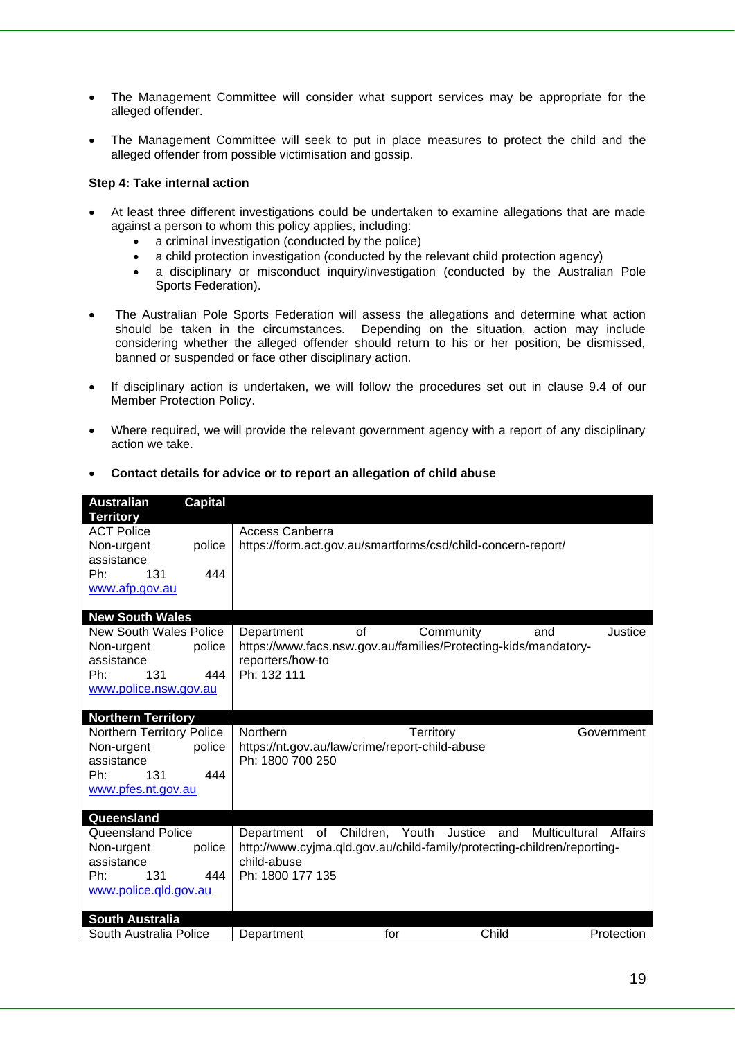- The Management Committee will consider what support services may be appropriate for the alleged offender.
- The Management Committee will seek to put in place measures to protect the child and the alleged offender from possible victimisation and gossip.

#### **Step 4: Take internal action**

- At least three different investigations could be undertaken to examine allegations that are made against a person to whom this policy applies, including:
	- a criminal investigation (conducted by the police)
	- a child protection investigation (conducted by the relevant child protection agency)
	- a disciplinary or misconduct inquiry/investigation (conducted by the Australian Pole Sports Federation).
- The Australian Pole Sports Federation will assess the allegations and determine what action should be taken in the circumstances. Depending on the situation, action may include considering whether the alleged offender should return to his or her position, be dismissed, banned or suspended or face other disciplinary action.
- If disciplinary action is undertaken, we will follow the procedures set out in clause 9.4 of our Member Protection Policy.
- Where required, we will provide the relevant government agency with a report of any disciplinary action we take.

| <b>Australian</b><br><b>Territory</b> | <b>Capital</b> |                                                                 |          |                                |                                                                         |
|---------------------------------------|----------------|-----------------------------------------------------------------|----------|--------------------------------|-------------------------------------------------------------------------|
| <b>ACT Police</b>                     |                | <b>Access Canberra</b>                                          |          |                                |                                                                         |
| Non-urgent                            | police         | https://form.act.gov.au/smartforms/csd/child-concern-report/    |          |                                |                                                                         |
| assistance                            |                |                                                                 |          |                                |                                                                         |
| 131<br>Ph:                            | 444            |                                                                 |          |                                |                                                                         |
| www.afp.gov.au                        |                |                                                                 |          |                                |                                                                         |
|                                       |                |                                                                 |          |                                |                                                                         |
| <b>New South Wales</b>                |                |                                                                 |          |                                |                                                                         |
| <b>New South Wales Police</b>         |                | Department                                                      | $\Omega$ | Community                      | Justice<br>and                                                          |
| Non-urgent                            | police         | https://www.facs.nsw.gov.au/families/Protecting-kids/mandatory- |          |                                |                                                                         |
| assistance                            |                | reporters/how-to                                                |          |                                |                                                                         |
| Ph:<br>131                            | 444            | Ph: 132 111                                                     |          |                                |                                                                         |
| www.police.nsw.gov.au                 |                |                                                                 |          |                                |                                                                         |
|                                       |                |                                                                 |          |                                |                                                                         |
| <b>Northern Territory</b>             |                |                                                                 |          |                                |                                                                         |
| <b>Northern Territory Police</b>      |                | Northern                                                        |          | Territory                      | Government                                                              |
| Non-urgent                            | police         | https://nt.gov.au/law/crime/report-child-abuse                  |          |                                |                                                                         |
| assistance                            |                | Ph: 1800 700 250                                                |          |                                |                                                                         |
| 131<br>Ph:                            | 444            |                                                                 |          |                                |                                                                         |
| www.pfes.nt.gov.au                    |                |                                                                 |          |                                |                                                                         |
| Queensland                            |                |                                                                 |          |                                |                                                                         |
| <b>Queensland Police</b>              |                | Department                                                      |          | of Children, Youth Justice and | Multicultural<br>Affairs                                                |
| Non-urgent                            | police         |                                                                 |          |                                | http://www.cyjma.qld.gov.au/child-family/protecting-children/reporting- |
| assistance                            |                | child-abuse                                                     |          |                                |                                                                         |
| Ph:<br>131                            | 444            | Ph: 1800 177 135                                                |          |                                |                                                                         |
| www.police.qld.gov.au                 |                |                                                                 |          |                                |                                                                         |
|                                       |                |                                                                 |          |                                |                                                                         |
| <b>South Australia</b>                |                |                                                                 |          |                                |                                                                         |
| South Australia Police                |                | Department                                                      | for      | Child                          | Protection                                                              |

• **Contact details for advice or to report an allegation of child abuse**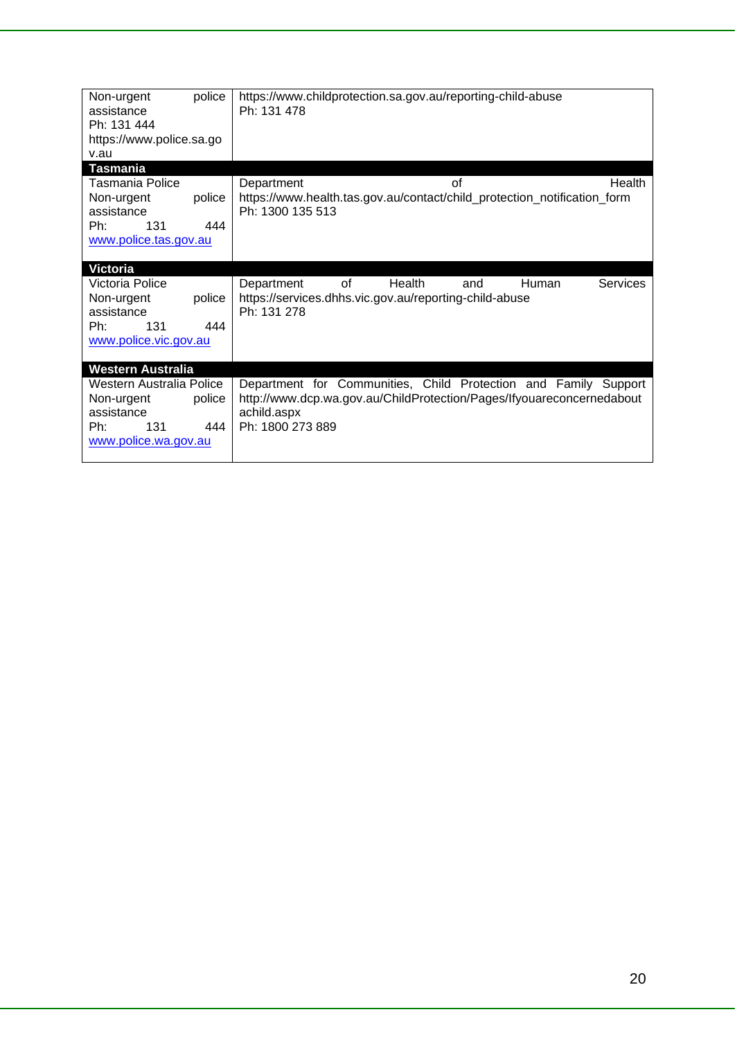| Non-urgent               | police | https://www.childprotection.sa.gov.au/reporting-child-abuse              |
|--------------------------|--------|--------------------------------------------------------------------------|
| assistance               |        | Ph: 131 478                                                              |
| Ph: 131 444              |        |                                                                          |
| https://www.police.sa.go |        |                                                                          |
| v.au                     |        |                                                                          |
| <b>Tasmania</b>          |        |                                                                          |
| Tasmania Police          |        | of<br>Health<br>Department                                               |
| Non-urgent               | police | https://www.health.tas.gov.au/contact/child_protection_notification_form |
| assistance               |        | Ph: 1300 135 513                                                         |
| 131<br>Ph:               | 444    |                                                                          |
| www.police.tas.gov.au    |        |                                                                          |
|                          |        |                                                                          |
| <b>Victoria</b>          |        |                                                                          |
| Victoria Police          |        | of<br>Health<br><b>Services</b><br>Department<br>Human<br>and            |
| Non-urgent               | police | https://services.dhhs.vic.gov.au/reporting-child-abuse                   |
| assistance               |        | Ph: 131 278                                                              |
| 131<br>Ph:               | 444    |                                                                          |
| www.police.vic.gov.au    |        |                                                                          |
|                          |        |                                                                          |
| <b>Western Australia</b> |        |                                                                          |
|                          |        |                                                                          |
| Western Australia Police |        | Department for Communities, Child Protection and Family Support          |
| Non-urgent               | police | http://www.dcp.wa.gov.au/ChildProtection/Pages/Ifyouareconcernedabout    |
| assistance               |        | achild.aspx                                                              |
| Ph:<br>131               | 444    | Ph: 1800 273 889                                                         |
| www.police.wa.gov.au     |        |                                                                          |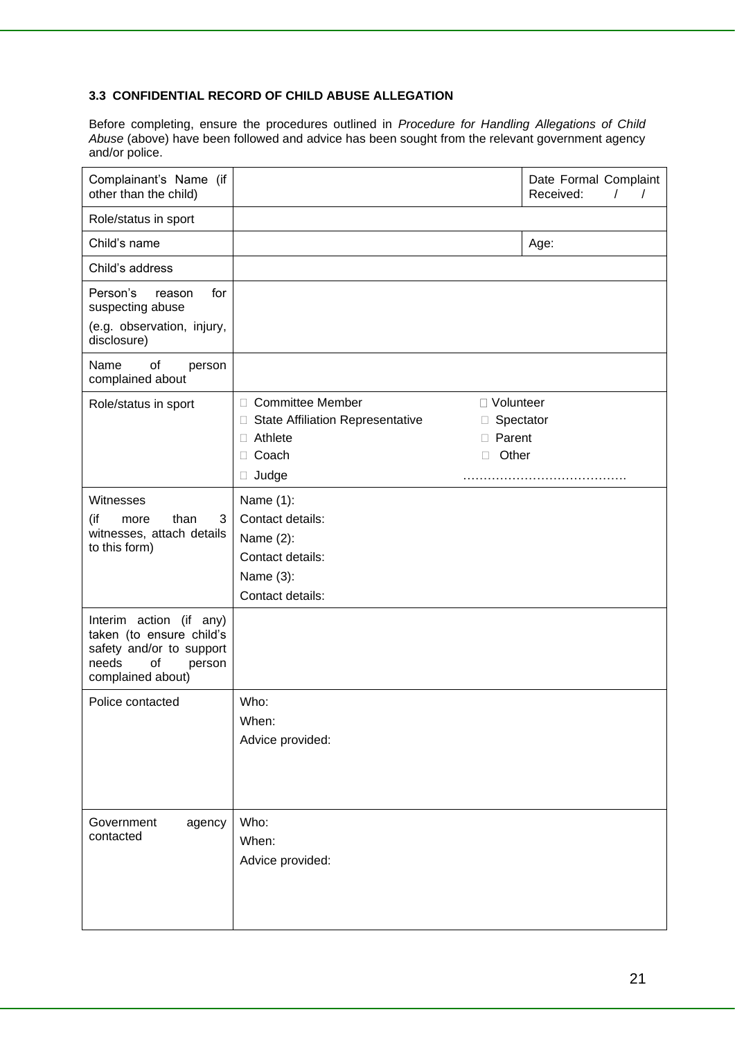#### **3.3 CONFIDENTIAL RECORD OF CHILD ABUSE ALLEGATION**

Before completing, ensure the procedures outlined in *Procedure for Handling Allegations of Child Abuse* (above) have been followed and advice has been sought from the relevant government agency and/or police.

| Complainant's Name (if<br>other than the child)                                                                               |                                                                                                                                                                       | Date Formal Complaint<br>Received:<br>$\prime$<br>$\prime$ |
|-------------------------------------------------------------------------------------------------------------------------------|-----------------------------------------------------------------------------------------------------------------------------------------------------------------------|------------------------------------------------------------|
| Role/status in sport                                                                                                          |                                                                                                                                                                       |                                                            |
| Child's name                                                                                                                  |                                                                                                                                                                       | Age:                                                       |
| Child's address                                                                                                               |                                                                                                                                                                       |                                                            |
| Person's<br>for<br>reason<br>suspecting abuse                                                                                 |                                                                                                                                                                       |                                                            |
| (e.g. observation, injury,<br>disclosure)                                                                                     |                                                                                                                                                                       |                                                            |
| Name<br>of<br>person<br>complained about                                                                                      |                                                                                                                                                                       |                                                            |
| Role/status in sport                                                                                                          | <b>Committee Member</b><br>□ Volunteer<br>□<br><b>State Affiliation Representative</b><br>□<br>Ш<br>Athlete<br>Parent<br>П.<br>□<br>Coach<br>Other<br>П<br>П<br>Judge | Spectator                                                  |
| Witnesses<br>(if<br>than<br>3<br>more<br>witnesses, attach details<br>to this form)                                           | Name (1):<br>Contact details:<br>Name (2):<br>Contact details:<br>Name (3):<br>Contact details:                                                                       |                                                            |
| Interim action (if any)<br>taken (to ensure child's<br>safety and/or to support<br>needs<br>οf<br>person<br>complained about) |                                                                                                                                                                       |                                                            |
| Police contacted                                                                                                              | Who:<br>When:<br>Advice provided:                                                                                                                                     |                                                            |
| Government<br>agency<br>contacted                                                                                             | Who:<br>When:<br>Advice provided:                                                                                                                                     |                                                            |